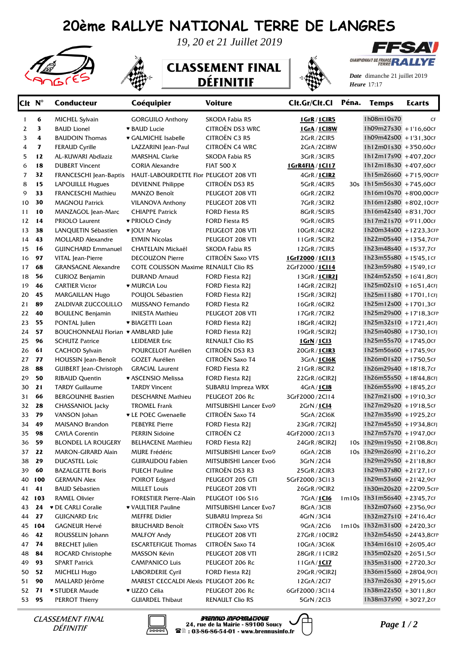## **20ème RALLYE NATIONAL TERRE DE LANGRES**





*19, 20 et 21 Juillet 2019*

## **CLASSEMENT FINAL DÉFINITIF**



*Date* dimanche 21 juillet 2019 *Heure* 17:17

CHAMPIONNAT DE FRANCE **RA** 

FFSAV

| Clt N <sup>°</sup> |     | <b>Conducteur</b>                   | Coéquipier                            | <b>Voiture</b>          | Clt.Gr/Clt.Cl    | Péna. | <b>Temps</b>                  | <b>Ecarts</b> |
|--------------------|-----|-------------------------------------|---------------------------------------|-------------------------|------------------|-------|-------------------------------|---------------|
| 1                  | 6   | <b>MICHEL Sylvain</b>               | <b>GORGUILO Anthony</b>               | SKODA Fabia R5          | 1GrR / 1CIR5     |       | 1h08m10s70                    | CF            |
| 2                  | 3   | <b>BAUD Lionel</b>                  | <b>* BAUD Lucie</b>                   | CITROËN DS3 WRC         | 1GrA / 1Cl8W     |       | $1h09m27s30 + 1'16,60cF$      |               |
| 3                  | 4   | <b>BAUDOIN Thomas</b>               | ♥ GALMICHE Isabelle                   | <b>CITROËN C3 R5</b>    | 2GrR/2ClR5       |       | 1h09m42s00 +1'31,30cF         |               |
| 4                  | 7   | <b>FERAUD Cyrille</b>               | LAZZARINI Jean-Paul                   | <b>CITROËN C4 WRC</b>   | 2GrA/2Cl8W       |       | 1h12m01s30 +3'50,60cF         |               |
| 5                  | 12  | AL-KUWARI Abdlaziz                  | <b>MARSHAL Clarke</b>                 | SKODA Fabia R5          | 3GrR/3ClR5       |       | 1h12m17s90 +4'07,20cF         |               |
| 6                  | 18  | <b>DUBERT Vincent</b>               | <b>CORIA Alexandre</b>                | <b>FIAT 500 X</b>       | 1GrR4FIA / 1Cl17 |       | 1h12m18s30 +4'07,60cF         |               |
| 7                  | 32  | FRANCESCHI Jean-Baptis              | HAUT-LABOURDETTE Flor PEUGEOT 208 VTI |                         | 4GrR / 1CIR2     |       | 1h15m26s60 +7'15,90cFP        |               |
| 8                  | 15  | LAPOUILLE Hugues                    | <b>DEVIENNE Philippe</b>              | CITROËN DS3 R5          | 5GrR/4ClR5       |       | 30s 1h15m56s30 +7'45,60cr     |               |
| 9                  | 33  | <b>FRANCESCHI Mathieu</b>           | MANZO Benoît                          | PEUGEOT 208 VTI         | 6GrR/2ClR2       |       | 1h16m10s70 +8'00,00CFP        |               |
| 10                 | 30  | <b>MAGNOU Patrick</b>               | <b>VILANOVA Anthony</b>               | PEUGEOT 208 VTI         | 7GrR/3ClR2       |       | 1h16m12s80 +8'02,10CFP        |               |
| 11                 | 10  | MANZAGOL Jean-Marc                  | <b>CHIAPPE Patrick</b>                | FORD Fiesta R5          | 8GrR/5ClR5       |       | $1h16m42s40$ +8'31,70cF       |               |
| 12                 | 14  | PRIOLO Laurent                      | ♥ PRIOLO Cindy                        | <b>FORD Fiesta R5</b>   | 9GrR/6CIR5       |       | 1h17m21s70 +9'11,00CF         |               |
| 13                 | 38  | LANQUETIN Sébastien                 | ♥ JOLY Mary                           | PEUGEOT 208 VTI         | 10GrR/4ClR2      |       | 1h20m34s00 +12'23,3CFP        |               |
| 14                 | 43  | <b>MOLLARD Alexandre</b>            | <b>EYMIN Nicolas</b>                  | PEUGEOT 208 VTI         | 11GrR/5ClR2      |       | 1h22m05s40 +13'54,7CFP        |               |
| 15                 | 16  | <b>GUINCHARD Emmanuel</b>           | CHATELAIN Mickaël                     | SKODA Fabia R5          | 12GrR/7ClR5      |       | 1h23m48s40 +15'37,7CF         |               |
| 16                 | 97  | VITAL Jean-Pierre                   | <b>DECOUZON Pierre</b>                | <b>CITROËN Saxo VTS</b> | 1GrF2000 / 1Cl13 |       | 1h23m55s80 +15'45,1CF         |               |
| 17                 | 68  | <b>GRANSAGNE Alexandre</b>          | COTE COLISSON Maxime RENAULT Clio RS  |                         | 2GrF2000/1Cl14   |       | 1h23m59s80 +15'49,1CF         |               |
| 18                 | 56  | <b>CURIOZ Benjamin</b>              | <b>DURAND Arnaud</b>                  | FORD Fiesta R2J         | 13GrR / 1CIR21   |       | $1h24m52s50 + 1641,8cF$       |               |
| 19                 | 46  | <b>CARTIER Victor</b>               | <b>* MURCIA Lou</b>                   | <b>FORD Fiesta R2J</b>  | 14GrR / 2CIR2J   |       | $1h25m02s10 + 1651,4cF$       |               |
| 20                 | 45  | <b>MARGAILLAN Hugo</b>              | POUJOL Sébastien                      | <b>FORD Fiesta R2J</b>  | 15GrR/3ClR2I     |       | $1h25m11s80 + 17'01,1CF$      |               |
| 21                 | 89  | ZALDIVAR ZUCCOLILLO                 | MUSSANO Fernando                      | FORD Fiesta R2          | 16GrR/6ClR2      |       | 1h25m12s00 +17'01,3CF         |               |
| 22                 | 40  | <b>BOULENC Benjamin</b>             | <b>INIESTA Mathieu</b>                | PEUGEOT 208 VTI         | 17GrR/7ClR2      |       | 1h25m29s00 +17'18,3CFP        |               |
| 23                 | 55  | PONTAL Julien                       | ♥ BIAGETTI Loan                       | FORD Fiesta R2J         | 18GrR/4ClR2J     |       | 1h25m32s10 +17'21,4cFJ        |               |
| 24                 | 57  | BOUCHONNEAU Florian • AMBLARD Julie |                                       | <b>FORD Fiesta R2J</b>  | 19GrR/5ClR2J     |       | $1h25m40s80 + 17'30,1CF$      |               |
| 25                 | 96  | <b>SCHUTZ Patrice</b>               | <b>LEIDEMER Eric</b>                  | <b>RENAULT Clio RS</b>  | <u>1GrN/1Cl3</u> |       | 1h25m55s70 +17'45,0cF         |               |
| 26                 | 61  | <b>CACHOD Sylvain</b>               | POURCELOT Aurélien                    | CITROËN DS3 R3          | 20GrR / 1CIR3    |       | 1h25m56s60 +17'45,9cF         |               |
| 27                 | 77  | HOUSSIN Jean-Benoît                 | <b>GOZET Aurélien</b>                 | CITROËN Saxo T4         | 3GrA/1CI6K       |       | 1h26m01s20 +17'50,5CF         |               |
| 28                 | 88  | GUIBERT Jean-Christoph              | <b>GRACIAL Laurent</b>                | FORD Fiesta R2          | 21GrR/8ClR2      |       | 1h26m29s40 +18'18,7CF         |               |
| 29                 | 50  | <b>RIBAUD Quentin</b>               | ♥ ASCENSIO Melissa                    | <b>FORD Fiesta R2J</b>  | 22GrR/6ClR2J     |       | 1h26m55s50 +18'44,8cFJ        |               |
| 30                 | 21  | <b>TARDY Guillaume</b>              | <b>TARDY Vincent</b>                  | SUBARU Impreza WRX      | 4GrA / 1Cl8      |       | 1h26m55s90 +18'45,2CF         |               |
| 31                 | 66  | <b>BERGOUNHE Bastien</b>            | <b>DESCHARNE Mathieu</b>              | PEUGEOT 206 Rc          | 3GrF2000/2Cl14   |       | 1h27m21s00 +19'10,3CF         |               |
| 32                 | 28  | CHASSANIOL Jacky                    | <b>TROMEL Frank</b>                   | MITSUBISHI Lancer Evo9  | 2GrN/1Cl4        |       | 1h27m29s20 +19'18,5CF         |               |
| 33                 | 79  | VANSON Johan                        | <b>v</b> LE POEC Gwenaelle            | CITROËN Saxo T4         | 5GrA/2Cl6K       |       | 1h27m35s90 +19'25,2CF         |               |
| 34                 | 49  | <b>MAISANO Brandon</b>              | <b>PEBEYRE Pierre</b>                 | <b>FORD Fiesta R2J</b>  | 23GrR/7ClR2J     |       | 1h27m45s50 +19'34,8cFJ        |               |
| 35                 | 98  | <b>CAYLA Corentin</b>               | <b>PERRIN Sidoine</b>                 | <b>CITROËN C2</b>       | 4GrF2000/2Cl13   |       | 1h27m57s70 +19'47,0cF         |               |
| 36                 | 59  | <b>BLONDEL LA ROUGERY</b>           | <b>BELHACENE Matthieu</b>             | FORD Fiesta R2J         | 24GrR/8ClR2J     |       | 10s 1h29m19s50 +21'08,8crj    |               |
| 37                 | 22  | MARON-GIRARD Alain                  | MURE Frédéric                         | MITSUBISHI Lancer Evo9  | 6GrA/2Cl8        |       | 10s   1h29m26s90 + 21'16,2CF  |               |
| 38                 | 29  | DUCASTEL Loïc                       | GUIRAUDOU Fabien                      | MITSUBISHI Lancer Evo6  | 3GrN / 2Cl4      |       | 1h29m29s50 + 21'18,8CF        |               |
| 39                 | 60  | <b>BAZALGETTE Boris</b>             | <b>PUECH Pauline</b>                  | CITROËN DS3 R3          | 25GrR/2ClR3      |       | 1h29m37s80 +21'27,1CF         |               |
| 40                 | 100 | <b>GERMAIN Alex</b>                 | POIROT Edgard                         | PEUGEOT 205 GTI         | 5GrF2000/3Cl13   |       | 1h29m53s60 +21'42,9cF         |               |
| 41                 | 41  | <b>BAUD Sébastien</b>               | <b>MILLET Louis</b>                   | PEUGEOT 208 VTI         | 26GrR/9ClR2      |       | 1h30m20s20 +22'09,5CFP        |               |
| 42                 | 103 | RAMEL Olivier                       | <b>FORESTIER Pierre-Alain</b>         | PEUGEOT 106 S16         | 7GrA / 1Cl6      |       | 1m10s 1h31m56s40 +23'45,7CF   |               |
| 43                 | 24  | <b>v</b> DE CARLI Coralie           | ♥ VAULTIER Pauline                    | MITSUBISHI Lancer Evo7  | 8GrA/3Cl8        |       | $1h32m07s60$ + 23'56,9cF      |               |
| 44                 | 27  | <b>GUIGNARD Eric</b>                | <b>MEFFRE Didier</b>                  | SUBARU Impreza Sti      | 4GrN / 3Cl4      |       | 1h32m27s10 +24'16,4cF         |               |
| 45 104             |     | <b>GAGNEUR Hervé</b>                | <b>BRUCHARD Benoît</b>                | CITROËN Saxo VTS        | 9GrA/2Cl6        |       | $1m10s$ 1h32m31s00 +24'20,3cF |               |
| 46                 | 42  | ROUSSELIN Johann                    | <b>MALFOY Andy</b>                    | PEUGEOT 208 VTI         | 27GrR / 10ClR2   |       | 1h32m54s50 +24'43,8CFP        |               |
| 47                 | 74  | <b>BRECHET</b> Julien               | <b>ESCARTEFIGUE Thomas</b>            | CITROËN Saxo T4         | 10GrA/3Cl6K      |       | $1h34m16s10 + 2605,4c$ F      |               |
| 48                 | 84  | ROCARD Christophe                   | MASSON Kévin                          | PEUGEOT 208 VTI         | 28GrR / 11 CIR2  |       | 1h35m02s20 + 26'51,5CF        |               |
| 49                 | 93  | <b>SPART Patrick</b>                | <b>CAMPANICO Luis</b>                 | PEUGEOT 206 Rc          | 11GrA/1Cl7       |       | 1h35m31s00 +27'20,3cF         |               |
| 50                 | 52  | MICHELI Hugo                        | LABORDERIE Cyril                      | FORD Fiesta R2J         | 29GrR/9CIR2J     |       | 1h36m15s60 +28'04,9cr         |               |
| 51                 | 90  | MALLARD Jérôme                      | MAREST CECCALDI Alexis PEUGEOT 206 Rc |                         | 12GrA/2Cl7       |       | 1h37m26s30 +29'15,6CF         |               |
| 52                 | 71  | ♥ STUDER Maude                      | ♥ UZZO Célia                          | PEUGEOT 206 Rc          | 6GrF2000/3Cl14   |       | 1h38m22s50 +30'11,8cF         |               |
| 53 95              |     | <b>PERROT Thierry</b>               | <b>GUIARDEL Thibaut</b>               | RENAULT Clio RS         | 5GrN / 2Cl3      |       | 1h38m37s90 +30'27,2CF         |               |
|                    |     |                                     |                                       |                         |                  |       |                               |               |

DÉFINITIF



*CLASSEMENT FINAL* **Page 1** / 24, rue de la Mairie - 89100 Soucy  $\Box$  *Page 1* / 2 **BRENNUS INFORMATIQUE 24, rue de la Mairie - 89100 Soucy : 03-86-86-54-01 - www.brennusinfo.fr**